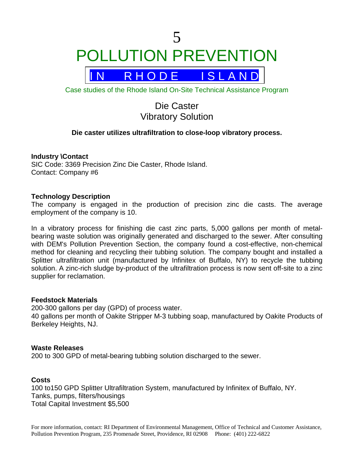# 5 POLLUTION PREVENTION



Case studies of the Rhode Island On-Site Technical Assistance Program

# Die Caster Vibratory Solution

# **Die caster utilizes ultrafiltration to close-loop vibratory process.**

# **Industry \Contact**

SIC Code: 3369 Precision Zinc Die Caster, Rhode Island. Contact: Company #6

# **Technology Description**

The company is engaged in the production of precision zinc die casts. The average employment of the company is 10.

In a vibratory process for finishing die cast zinc parts, 5,000 gallons per month of metalbearing waste solution was originally generated and discharged to the sewer. After consulting with DEM's Pollution Prevention Section, the company found a cost-effective, non-chemical method for cleaning and recycling their tubbing solution. The company bought and installed a Splitter ultrafiltration unit (manufactured by Infinitex of Buffalo, NY) to recycle the tubbing solution. A zinc-rich sludge by-product of the ultrafiltration process is now sent off-site to a zinc supplier for reclamation.

#### **Feedstock Materials**

200-300 gallons per day (GPD) of process water. 40 gallons per month of Oakite Stripper M-3 tubbing soap, manufactured by Oakite Products of Berkeley Heights, NJ.

#### **Waste Releases**

200 to 300 GPD of metal-bearing tubbing solution discharged to the sewer.

# **Costs**

100 to150 GPD Splitter Ultrafiltration System, manufactured by Infinitex of Buffalo, NY. Tanks, pumps, filters/housings Total Capital Investment \$5,500